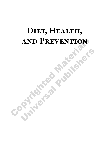# AND PREVENTION<br>
FREVENTION DIET, HEALTH, **and Prevention**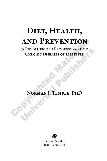# DIET, HEALTH, **and Prevention**

AND PREVENTION<br>A Revolution in Progress against<br>Chronic Diseases of Lifestyle<br>Norman J. Temple, PhD A REVOLUTION IN PROGRESS AGAINST<br>CHRONIC DISEASES OF LIFESTYLE<br>NORMAN J. TEMPLE, PHD A Revolution in Progress against Chronic Diseases of Lifestyle

**Norman J. Temple, PhD**



Universal-Publishers Irvine • Boca Raton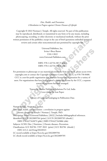*Diet, Health, and Prevention: A Revolution in Progress against Chronic Diseases of Lifestyle*

Copyright © 2022 Norman J. Temple. All rights reserved. No part of this publication may be reproduced, distributed, or transmitted in any form or by any means, including photocopying, recording, or other electronic or mechanical methods, without the prior written permission of the publisher, except in the case of brief quotations embodied in critical reviews and certain other noncommercial uses permitted by copyright law.

> Universal Publishers, Inc. Irvine • Boca Raton USA • 2022 www.Universal-Publishers.com

ISBN: 978-1-62734-387-9 (pbk.) ISBN: 978-1-62734-388-6 (ebk.)

written permission of the publisher, except in the case of brief quotations embodied in critical<br>reviews and certain other noncommercial uses permitted by copyright law.<br>Universal Publishers, Inc.<br> $U\sin\psi = B\cos R$ aton bases a For permission to photocopy or use material electronically from this work, please access www. copyright.com or contact the Copyright Clearance Center, Inc. (CCC) at 978-750-8400. CCC is a not-for-profit organization that provides licenses and registration for a variety of users. For organizations that have been granted a photocopy license by the CCC, a separate system of payments has been arranged.

Typeset by Medlar Publishing Solutions Pvt Ltd, India Cover design by Ivan Popov

Library of Congress Cataloging-in-Publication Data

Universal rubishers, inc.<br>
Irvine • Boca Raton<br>
USA • 2022<br>
www.Universal-Publishers.com<br>
ISBN: 978-1-62734-387-9 (pbk.)<br>
ISBN: 978-1-62734-387-9 (pbk.)<br>
ISBN: 978-1-62734-388-6 (ebk.)<br>
ISBN: 978-1-62734-388-6 (ebk.)<br>
ansi Names: Temple, Norman J., author. Title: Diet, health, and prevention : a revolution in progress against chronic diseases of lifestyle / Norman J. Temple, PhD. Description: Irvine : Universal Publishers, [2022] | Includes bibliographical references. Identifiers: LCCN 2022009704 (print) | LCCN 2022009705 (ebook) | ISBN 9781627343879 (pbk) | ISBN 9781627343886 (ebk) Subjects: LCSH: Diet. | Nutrition. | Chronic diseases--Prevention. Classification: LCC RA784 .T397 2022 (print) | LCC RA784 (ebook) | DDC 613.2--dc23/eng/20220321 LC record available at https://lccn.loc.gov/2022009704 LC ebook record available at https://lccn.loc.gov/2022009705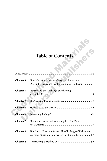## **Table of Contents**

| <b>Table of Contents</b> |                                                                                                                 |  |
|--------------------------|-----------------------------------------------------------------------------------------------------------------|--|
|                          |                                                                                                                 |  |
| Chapter 1                | How Nutrition Scientists Carry Out Research on<br>Diet and Disease. Why is there so much Confusion?1            |  |
| <b>Chapter 2</b>         | Obesity and the Challenge of Achieving                                                                          |  |
| Chapter 3                |                                                                                                                 |  |
| Chapter 4                |                                                                                                                 |  |
| <b>Chapter 5</b>         |                                                                                                                 |  |
| <b>Chapter 6</b>         | New Concepts in Understanding the Diet: Food                                                                    |  |
| Chapter 7                | Translating Nutrition Advice: The Challenge of Delivering<br>Complex Nutrition Information in a Simple Format87 |  |
| <b>Chapter 8</b>         |                                                                                                                 |  |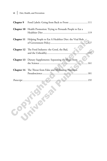| Chapter 9  | Food Labels: Going from Back to Front 111                              |
|------------|------------------------------------------------------------------------|
|            | <b>Chapter 10</b> Health Promotion: Trying to Persuade People to Eat a |
| Chapter 11 | Helping People to Eat A Healthier Diet: the Vital Role                 |
| Chapter 12 | The Food Industry: the Good, the Bad,                                  |
| Chapter 13 | Dietary Supplements: Separating the Hype from                          |
| Chapter 14 | The Threat from False and Misleading Nutrition                         |
|            |                                                                        |
|            |                                                                        |
|            |                                                                        |
|            |                                                                        |
|            |                                                                        |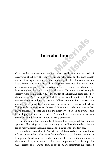#### **Introduction**

**Introduction**<br>
Over the last two centuries medical researchers have made hundreds<br>
discoveries about how the body works and what leads to the many dead<br>
and debilitating diseases that afflict humanity. In the nineteenth c **Introduction**<br>**Introduction**<br>the last two centuries medical researchers have made hundreds of<br>veries about how the body works and what leads to the many deadly<br>debilitating diseases that afflict humanity. In the nineteent Over the last two centuries medical researchers have made hundreds of discoveries about how the body works and what leads to the many deadly and debilitating diseases that afflict humanity. In the nineteenth century Louis Pasteur and other medical investigators discovered that microscopic organisms are responsible for infectious diseases. Decades later these organisms were given the name bacteria and viruses. This discovery led to highly effective ways to massively reduce the burden of sickness and death caused by these diseases. Another great medical discovery came in the first half of the twentieth century with the discovery of different vitamins. It was realized that a deficiency of particular vitamins causes disease, such as scurvy and rickets. This provided an explanation for several diseases that had caused great suffering to millions of people. And like the discovery of bacteria and viruses this led to highly effective interventions. As a result several diseases caused by a severe vitamin deficiency can now be easily prevented.

But no sooner had one family of diseases been conquered than another appeared. This brings us to the fascinating story of how the modern diet has led to many diseases that have become the plague of the modern age.

Several doctors working in Africa in the 1960s noticed that the inhabitants of that continent have a low rate of many of the diseases that are common in Europe and North America. At the same time they turned their attention to the diet as a likely explanation for this. One component of the diet in particular—dietary fiber—was the focus of attention. The researchers hypothesized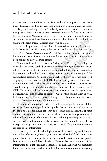that the large amount of fiber in the diet eaten by Africans protects them from many diseases. Denis Burkitt, a surgeon working in Uganda, was at the center of this groundbreaking research. The family of diseases that are common in Europe and North America but that were rare in most of Africa in the 1960s became known as Western diseases. Today, they are more commonly known as chronic diseases of lifestyle or non-communicable diseases. In this book we shall use the term chronic diseases of lifestyle or CDL.

One of the greatest privileges of my life was to have jointly edited a book with Denis Burkitt. This book, published in 1994, was titled: *Western Diseases: their Dietary Prevention and Reversibility.* The book reviewed what we know about these diseases, and then explained how a healthy lifestyle can both prevent and reverse these diseases.

as chronic diseases of lifestyle or non-communicable diseases. In this book we shall use the term chronic diseases of lifestyle or CDL.<br>One of the greatest privileges of lifestyle or CDL.<br>One of the greatest privileges of enis Burkitt. This book, published in 1994, was titled: *Western Dis-*<br>beir Dietary Prevention and Reversibility. The book reviewed what we<br>bout these diseases, and then explained how a healthy lifestyle can<br>eversal and re The research work carried out in Africa in the 1960s by a small group of medical pioneers sparked enormous interest among doctors and medical researchers. This led to an enormous research effort into the relationship between diet and health. Library shelves now groan under the weight of the accumulated research. As mentioned, a lack of dietary fiber was suspected of playing an important role in CDL. Half a century later the importance of fiber is now well established. But we now have conclusive evidence that several other parts of the diet are also heavily involved in the causation of CDL. This evidence has extended to other aspects of lifestyle beyond diet, particularly smoking and lack of exercise. Much of this book is taken up with looking at the relationship between lifestyle, especially diet, and the major diseases that come under the CDL umbrella.

This information has been delivered to the general public in many different ways. Governments publish food guides that provide detailed advice on the foods that people should eat. They also regulate information that appears on food packages. Governments provide their citizens with huge amounts of other information on lifestyle and health, including smoking and exercise. A great deal of information is also delivered to the public by way of TV, newspapers, magazines, and, of course, social media. People are continuously exposed to this information.

If people gave their health a high priority, they would pay careful attention to this information, absorb it, and then lead a healthy lifestyle. But at this point, alas, we hit two major barriers. The first is that vast numbers of people lack the motivation to follow this advice. The other barrier is that much of the information the public receives is inaccurate or even dishonest. Of particular importance, many corporations spend copious amounts of money promoting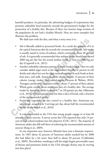harmful products. In particular, the advertising budgets of corporations that promote unhealthy food massively exceeds the government's budget for the promotion of a healthy diet. Because of these two barriers large sections of the population do not lead a healthy lifestyle. Here are some examples that illustrate this problem.

We shall start with the diet, and what a sorry story it is:

- We shall start with the diet, and what a sorry story it is:<br>
 Salt is liberally added to processed foods. As a result the quantity of it<br>
 Salt is liberally added to processed foods. As a result the quantity of it<br>
it i Salt is liberally added to processed foods. As a result the quantity of it in the typical American diet far exceeds the recommended levels. Salt intake is usually stated in terms of sodium, which constitutes about 40 percent of salt. It is generally recommended that sodium intake should not exceed 2000 mg per day but the actual median intake is close to 3400 mg per day (Cogswell et al., 2012).
	- he typical American diet far exceeds the recommended levels. Salt intake<br>susually stated in terms of sodium, which constitutes about 40 percent<br>f salt. It is generally recommended that sodium intake should not exceed<br>2000 • Another unhealthy substance present in many foods is sugar. Here we only consider added sugar (such as the sugar added to coffee or present in soft drinks and cakes) but not the sugar naturally present in such foods as fruit, fruit juice, and milk. American adults obtain roughly 14 percent of their calories (energy intake) from added sugars (Newens & Walton, 2016). Teenagers, predictably, consumer more—about 17 percent of their calories
	- Whole grain cereals are an important part of a healthy diet. The average intake by American adults is about 0.7 oz (20 grams) per day (Albertson et al., 2016). This is equivalent to less than a slice of bread, only a fraction of the recommended intake.
	- Fruits and vegetables are also central to a healthy diet. Americans eat, on average, around 2 to 3 servings per day, about half the recommended intake (Krebs-Smith et al., 2010).

It is recommended in the USA that young people engage in at least 60 minutes of daily exercise. A survey across the USA reported that only 15 percent of high school students met this objective (CDC, 2011). The majority of American adults also fall well short of achieving the recommended amount of exercise (King et al., 2009).

In one important area, however, lifestyles have seen a dramatic improvement. In 1965 about 42 percent of American adults smoked but by 2008 this had fallen by a bit more than half to about 20 percent (Cokkinides et al., 2009). Nevertheless, smoking is still the single largest preventable cause of disease and premature death in the USA (though obesity may be moving into first place).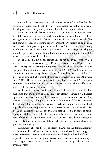Actions have consequences. And the consequence of an unhealthy lifestyle is, of course, poor health. By way of illustration we look at two major health problems, namely the epidemics of obesity and type 2 diabetes.

The USA is a world leader in many areas, but not all of them are positive. Obesity stands out as an area where the USA is a world leader for all the wrong reasons. An epidemic of obesity appeared in the country around 1980 and shows no sign of loosening its grip. Roughly 40 percent of adult men are classed as being overweight and an additional 35 percent are obese (Yang & Colditz, 2015). Fewer women (30 percent) are overweight but slightly more (37 percent) are obese. In total, therefore, about seven out of ten adult Americans are overweight or obese.

wrong reasons. An epidemic of obesity appeared in the country around 1980<br>and shows no sign of loosening its grip. Roughly 40 percent of adult men<br>are classed as being overweight ad an additional 35 percent are obese (Yan The epidemic has hit all age groups. In one major survey it was revealed that 21 percent of adolescents aged 12 to 19 years are obese (Ogden et al., 2016). An especially alarming finding is that the prevalence of obesity for this age group doubled in the 23 years from 1991 and 2014. Valuable information came from another survey. Among 11 to 15 year-old American children 32 percent of boys and 26 percent of girls are overweight or obese (Ahluwalia et al., 2015). The survey also presented findings for Canada and 23 European counties. The numbers for those other countries were only about half or twothirds of the American numbers.

ditz, 2015). Fewer women (30 percent) are overweight but slightly<br>37 percent) are obses. In total, therefore, about seven out of ten adult<br>ans are overweight or obses.<br>In one major survey it was revealed<br>e epidemic has hit As obesity is a major risk factor for type 2 diabetes, it is anything but surprising that the obesity epidemic has been closely followed by a diabetes epidemic. This was confirmed by a large survey carried out across the USA (Menke et al., 2015). Roughly 13 percent of American adults have diabetes. In addition, 38 percent have prediabetes. This label is applied when the blood sugar level is abnormally elevated but to a lesser degree than we see with diabetes. The presence of prediabetes indicates that a person is en route to developing actual diabetes. Another finding from this survey is that for every four cases of diabetes in 1990 there were five cases by 2012. This demonstrates, not surprisingly, that the prevalence of diabetes has been rising in parallel with the prevalence of obesity.

In summary, chronic diseases of lifestyle (CDL) are the dominant family of diseases in the USA and across the Western world. As the name suggests, these diseases are closely related to an unhealthy lifestyle. A healthy lifestyle especially a healthy diet, adequate exercise, and abstinence from smoking can, to a great extent, prevent these diseases, or at least delay their appearance by many years.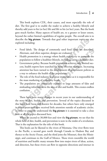This book explores CDL, their causes, and most especially the role of diet. The first goal is to enable the reader to achieve a healthy lifestyle and thereby add years to his (or her) life and life to his (or her) years. But the book goes much further. Many aspects of health are, to a greater or lesser extent, beyond the rather limited capabilities of regular people. The overall aim is to describe the **big picture**. Towards that goal other important topics are also explored including:

- Food labels. The design of commonly used food labels are described. Alternate, and often superior, designs are evaluated.
- Health promotion is a strategy where health experts try to persuade the population to follow a healthier lifestyle, including eating a healthier diet.
- Government policy. Because health promotion achieves only limited success, health experts have searched for more effective strategies. Increasing attention has been turned to the development of government policies as a way to enhance the health of the population.
- The role of the food industry is of great importance as it is responsible for the mass marketing of unhealthy foods.
- The population are continually exposed to large amounts of false and misleading information in the area of diet and health. This creates endless confusion.

describe the **big picture**. Towards that goal other important topics are all explored including:<br>
• Food labels. The design of commonly used food labels are describe<br>
Alternate, and often superior, designs are evaluated.<br> <sup>5</sup> ood labels. The design of commonly used food labels are described.<br>
Alternate, and often superior, designs are evaluated.<br>
Health promotion is a strategy where health experts try to persuade the<br>
Fealth promotion is a There have been many changes in recent years in our understanding of the story of diet, health, and prevention. Several of the topics discussed in this book have been well known for decades, but others have only emerged in recent years and have received little attention outside of academic circles. In order to properly understand the **big picture** it is essential to take a close look at all the topics discussed here.

When we ascend to 30,000 feet and view the **big picture**, we see that the whole field of diet, health, and prevention is now in the midst of a revolution. That is the explanation for the title of this book.

This book can be likened to the rivers of Montana. One river flows west to the Pacific, a second goes north through Canada to Hudson Bay and thence to the Arctic Ocean, and the third joins the Missouri, then the Mississippi, and continues to the Gulf of Mexico. These rivers resemble the world of nutrition and health: many streams flow into major rivers of ideas, action, and direction, but these rivers can flow in opposite directions and interact in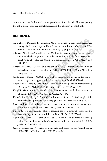complex ways with the total landscape of nutritional health. These opposing thoughts and actions are sometimes seen in the chapters of this book.

#### **REFERENCES**

- Ahluwalia N, Dalmasso P, Rasmussen M, et al. Trends in overweight prevalence among 11-, 13- and 15-year-olds in 25 countries in Europe, Canada and USA from 2002 to 2010. Eur J Public Health 2015;25 (Suppl 2):28–32.
- Ahluwalia N, Dalmasso P, Rasmussen M, et al. Trends in overweight prevalence<br>
among 11-, 13- and 15-year-olds in 25 countries in Europe, Canada and USA<br>
from 2002 to 2010. Eur J Public Health 2015:25 (Suppl 2):28–32.<br>
Alb m 2002 to 2010. Eur J Public Health 2015;25 (Suppl 2):28–32.<br>
In AM, Reicks M, Joshi N, et al. Whole grain consumption trends and associns with body weight measures in the United States: results from the cross sec-<br>
Inl Na Albertson AM, Reicks M, Joshi N, et al. Whole grain consumption trends and associations with body weight measures in the United States: results from the cross sectional National Health and Nutrition Examination Survey 2001–2012. Nutr J 2016;15:8.
	- Centers for Disease Control and Prevention (CDC). Physical activity levels of high school students—United States, 2010. MMWR Morb Mortal Wkly Rep 2011;60:773–7.
	- Cokkinides V, Bandi P, McMahon C, et al. Tobacco control in the United States- recent progress and opportunities. CA Cancer J Clin 2009;59:352–65.
	- Cogswell ME, Zhang Z, Carriquiry AL, et al. Sodium and potassium intakes among US adults: NHANES 2003–2008. Am J Clin Nutr 2012;96:647–57.
	- King DE, Mainous AG, Carnemolla M, et al. Adherence to healthy lifestyle habits in US adults, 1988–2006. Am J Med 2009;122:528–34.
	- Krebs-Smith SM, Reedy J, Bosire C. Healthfulness of the U.S. food supply: little improvement despite decades of dietary guidance. Am J Prev Med 2010;38:472–7.
	- Menke A, Casagrande S, Geiss L, et al. Prevalence of and trends in diabetes among adults in the United States, 1988–2012. JAMA 2015;314:1021–9.
	- Newens KJ, Walton J. A review of sugar consumption from nationally representative dietary surveys across the world. J Hum Nutr Diet 2016;29:225–40.
	- Ogden CL, Carroll MD, Lawman HG, et al. Trends in obesity prevalence among children and adolescents in the United States, 1988–1994 through 2013–2014. JAMA 2016;315:2292–9.
	- Yang L, Colditz GA. Prevalence of overweight and obesity in the United States, 2007–2012. JAMA Intern Med 2015;175:1412–3.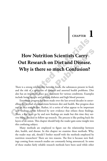# **CHAPTER 1**

# **From Nutrition Scientists Carry**<br> **Cut Research on Diet and Disease.**<br> **Why is there so much Confusion?**<br>
There is a strong relationship between foods, the substances present in foo<br>
and the risk of a spectrum of diseases **How Nutrition Scientists Carry Out Research on Diet and Disease. Why is there so much Confusion?**

There is a strong relationship between foods, the substances present in food, and the risk of a spectrum of diseases and assorted health problems. Diet also has an important place as a treatment for various conditions. Examples include losing weight and treating diabetes and high blood pressure.

**How Nutrition Scientists Carry<br>
Dut Research on Diet and Disease.**<br>
Why is there so much Confusion?<br>
<sup>is a</sup> strong relationship between foods, the substances present in food,<br>
the risk of a spectrum of diseases and assort Enormous progress has been made over the last several decades in unravelling the myriad of connections between diet and health. But progress does not go in a straight line. Rather, it's a series of what appear to be important new findings, often followed by new evidence that refutes those findings. Then, a few years go by and new findings are made but this time they survive being checked in follow-up research. The process is like peeling back the layers of an onion. This chapter should help the reader gain some insight into this confusing subject.

Many methods are employed to figure out the relationship between diet, health, and disease. In this chapter we examine these methods. Why, the reader may ask, should I bother myself with the methods employed by nutrition researchers? There are two reasons. The first is because new findings coming from research studies are constantly being announced. In some of these studies fairly reliable research methods have been used while other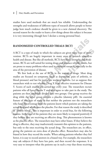studies have used methods that are much less reliable. Understanding the strengths and weaknesses of different types of research allows people to better judge how much credence should be given to a new claimed discovery. The second reason for the reader to learn a few things about this subject is because it is very interesting (though here I declare a strong personal bias).

#### **RANDOMIZED CONTROLLED TRIALS (RCT)**

A RCT is a type of study in which the subjects are given some type of intervention. RCTs are hugely important in many areas of research related to health and disease. But like all methods, RCTs have both strengths and weaknesses. RCTs are well suited for testing drugs and produce reliable results, but are prone to many problems when used in nutrition research, especially in the area of the prevention of disease.

**RANDOMIZED CONTROLLED TRIALS (RCT)**<br>
A RCT is a type of study in which the subjects are given some type of intervention. RCTs are hugely important in many areas of research related to health and disease. But like all met is a type of study in which the subjects are given some type of inter-<br>i. RCTs are hugely important in many areas of research related to<br>and disease. But like all methods, RCTs have both strengths and weak-<br>RCTs are well s We first look at the use of RCTs in the testing of drugs. Most drug studies are focused on symptoms (such as depression, pain of arthritis, or blood pressure) and last for just a few weeks or months. Let us suppose that researchers wish to test whether Drug X is an effective treatment for Disease Y. Scores of such studies are carried out every year. The researchers recruit patients who all have Disease Y and who agree to take part in the study. The patients are then randomly divided into two groups. One group receives the drug while the other group receives a placebo (dummy pill). An essential feature of this type of study is that neither the patients nor the researchers who have direct contact with the patients know which patients are taking the actual drug and which ones the placebo. For that reason the study is described as "double blind". This is important in order to avoid bias, for the following reasons. In the case of the patients they are more likely to respond positively if they believe they are receiving an effective drug. This phenomenon is known as the placebo effect. The researchers may have other biases. If they believe the drug is effective, they may inadvertently transmit this opinion to the patients, but only to the ones receiving the actual drug. The researchers are, in effect, giving the patients an extra dose of placebo effect. Researchers may also be biased in how they record the results. When asking patients whether they feel better, it is easy to record answers in a biased way. For example, the researchers may ask subjects if they have less pain, and then record the responses. It is very easy to interpret what the patients say in such a way that those receiving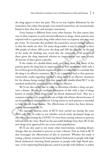the drug appear to have less pain. This in no way implies dishonesty by the researchers, but rather that people, even trained researchers, are unconsciously biased in how they hear and interpret statements.

Every human is different from every other human. For that reason they vary in their response to such external influences as drugs. Some patients may respond well to a particular drug while others have no response and may even get worse. To overcome this problem the researchers recruit enough subjects so that the results are clear. For many drug studies it may be enough to have 400 people of whom 200 receive the drug and 200 the placebo. At the end of the study the findings may reveal that the symptoms of 60 percent of those given the drug improved whereas an improvement was seen in only 20 percent of those given a placebo.

respond well to a particular drug while others have no response and may eve get worse. To overcome this problem the researchers recruit enough subjects so that the results are clear. For many drug sudies it may be enough t people of whom 200 receive the drug and 200 the placebo. At the end<br>e study the findings may reveal that the symptoms of 60 percent of<br>eigven the drug improved whereas an improvement was seen in only<br>rerent of those given If the results of a double-blind study on a drug show that many of the patients given the drug had an improvement in their symptoms while only a few of those given the placebo improved, then it is reasonable to conclude that the drug is an effective treatment. RCTs are a powerful tool as they generate trustworthy results regarding whether a drug really is an effective treatment for the disease being studied. For that reason, the double-blind RCT is the standard method for testing whether drugs are effective.

RCTs are also carried out in order to determine whether a drug can prevent a disease. We see an excellent illustration of this with a class of drugs known as statins. These drugs lower the blood cholesterol level. They are a common treatment for patients who are at high risk of heart disease because of an elevated blood cholesterol level. Giving statins to such patients is intended to help prevent heart disease. The effectiveness of statins has been demonstrated in numerous RCTs.

An especially famous series of RCTs were carried out during the years 2020 and 2021 in order to test whether several newly developed drugs are effective at preventing the COVID-19 virus from causing sickness in persons infected with the virus. Based on the successful findings from these RCTs the new drugs were approved for use across entire populations.

RCTs are also used to test many other interventions, including dietary changes that are intended to prevent or treat a disease. First we look at RCTs that investigate the effectiveness of diet in *treatment*. Whether the study is testing a dietary treatment for lowering blood cholesterol in people with high blood cholesterol, lowering blood pressure in people with high blood pressure, or for improving blood glucose control in people with diabetes, it makes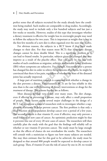perfect sense that all subjects recruited for the study already have the condition being studied. Such studies are comparable to drug studies. Accordingly, the study may need to include only a few hundred subjects and last just a few weeks or months. However, studies of this type that investigate whether a dietary treatment is effective for weight loss in overweight people may need to follow the subjects for two years. This is important as weight that is lost in the first few months of a new diet is often regained over the next year or two.

to follow the subjects for two years. This is important as weight that is lost in<br>the first few months of a new diet is often regained over the next year or two.<br>For obvious reasons, the subjects in a RCT know if they have s to their diet. For that reason most RCTs that investigate dietary<br>s cannot be done double blind. This is a significant problem as it<br>to biased results. In particular, subjects given the changed diet may<br>as a result of th For obvious reasons, the subjects in a RCT know if they have made changes to their diet. For that reason most RCTs that investigate dietary changes cannot be done double blind. This is a significant problem as it can lead to biased results. In particular, subjects given the changed diet may improve as a result of the placebo effect. That can easily be the case with studies of such conditions as migraine, arthritis, and irritable bowel syndrome (IBS) where symptoms are subjective. For example, four weeks after a person has changed his diet in order to relieve the symptoms of arthritis, he might be convinced that there is less pain, regardless of whether the state of the diseased joints has actually improved.

A large part of nutrition research is concerned with whether a change in the diet prevents a disease. Unfortunately, RCTs are far less reliable in this area than is the case with the testing of dietary interventions or drugs for the *treatment* of disease. The reasons for this are as follows.

Most diseases develop very slowly over many years. The diet change, even if effective at preventing a disease, may only affect a small proportion of people. These factors create several major challenges in the design of a RCT. Let us suppose a team of researchers wish to investigate whether a supplement of vitamin D helps prevent cancer. The first problem is that only a small fraction of the population develop cancer over a period of a few years. The second problem is that vitamin D, even if effective, may only prevent a small fraction of new cases of cancer. An optimistic prediction might be that it prevents one out of every 20 new cases of cancer. The researchers will then carefully plan the study with the goal that the findings will reliably tell us whether or not vitamin D prevents cancer. The study must be large enough so that the effects of chance do not overshadow the results. The researchers will consult with a statistician to figure out how many subjects are needed. She may then estimate that for this goal to be achieved, the study must be designed so that around 800 people would be expected to develop cancer in each group. Then, if vitamin D cuts the risk of cancer by one in 20, we would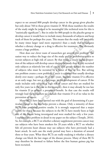expect to see around 800 people develop cancer in the group given placebo but only about 760 in those given vitamin D. With those numbers the results of the study might be judged to be meaningful (the technical term for this is "statistically significant"). But in order for 800 people in the placebo group to develop cancer it would have to include many thousands of subjects and keep track of them for perhaps five years. This means that the study will inevitably be many times larger (and more expensive) than a study that investigates whether a dietary change or a drug is effective for treatment. This obviously creates a huge problem.

track of them for perhaps five years. This means that the study will inevitable<br>be many time larger (and more expensive) than a study that investigat<br>whether a dictary change or a drug is effective for treatment. This obvi is a huge problem.<br>
How does our clever team of researchers get around this problem? The<br>
tiv way to reduce the huge size of the study and its prohibitive cost is to<br>
it subjects at high risk of cancer. By that means a muc How does our clever team of researchers get around this problem? The easiest way to reduce the huge size of the study and its prohibitive cost is to recruit subjects at high risk of cancer. By that means a much higher proportion of the subjects will develop cancer during the study than if they recruited only subjects at relatively low risk of cancer. This greatly reduces the number of subjects who must be recruited by a factor of four or five. But solving one problem creates a new problem. Cancer is a disease that usually develops slowly over many—perhaps 20 or 30—years. Suppose vitamin D is effective at an early stage, but not at a late stage, in the development of cancer. If the study includes only subjects at high risk of cancer and they are studied for only five years (as is the case in this example), then it may already be too late for vitamin D to achieve a preventive benefit. In that case the results will wrongly lead the researchers to conclude that vitamin D is of no value in the prevention of cancer.

Many RCTs have been carried out with the goal of determining if a particular change to the diet helps prevent a disease. Only a minority of those RCTs have produced positive results. It is strongly suspected that a major reason for this is because the subjects in the RCTs have mostly been at high risk of the disease being investigated and were studied for only a few years. I explained this problem in detail in my paper on the subject (Temple, 2016). So, for example, a RCT on whether a dietary supplement prevents cancer may use subjects who have been smokers for 20 years while a RCT on whether fish oil prevents heart disease may use subjects who have previously had a heart attack. In each case the study period may have a duration of around three or four years. What these RCTs are really studying is whether a dietary change can block the late stages of the disease process. Many of these RCTs may therefore be doomed to failure before the first human guinea pig has been recruited.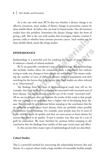As is the case with most RCTs that test whether a dietary change is an effective treatment, most studies of dietary change in prevention cannot be done double blind. As before this can lead to biased results. Not all nutrition studies have this problem. Sometimes the dietary change takes the form of giving a pill. This is the case with studies that investigate whether vitamin C prevent colds or whether beta-carotene prevents cancer. Such studies can be done double blind, much like drugs studies.

#### **EPIDEMIOLOGY**

Epidemiology is a powerful tool for studying the causes of many diseases. It embraces a family of related methods.

RCTs are generally considered a type of epidemiology. But epidemiology also includes studies where the researchers study a population but without trying to make any changes to how people eat and behave. This means studying the number of cases of different diseases within a population and then searching for the factors that help explain this. Such studies are often referred to as "observational".

prevent colds or whether beta-carotene prevents cancer. Such studies can be<br>done double blind, much like drugs studies.<br> **EPIDEMIOLOGY**<br>
Epidemiology is a powerful tool for studying the causes of many diseases.<br>
It embrace **EMIOLOGY**<br>
EMIOLOGY<br>
indogy is a powerful tool for studying the causes of many diseases.<br>
acces a family of related methods.<br>
TIs are generally considered a type of epidemiology. But epidemiology<br>
cludes studies where th The findings from this type of epidemiological study may tell us, for example, that high levels of air pollution are associated with increased rates of heart disease. The reader should note the use of the words "*associated with*". All we can say for sure after we examine the results of this study is that people who are exposed to air pollution have a higher risk of developing heart disease. But we must be very hesitant before jumping to the conclusion that the air pollution actually *causes* heart disease; there are probably other possible explanations for the findings. For example, poor people may live in areas of a city with the worst air quality and they are most prone to heart disease for reasons unrelated to air quality. To put it another way, this may be a case of guilt by association. We must therefore be cautious before jumping to the conclusion that the findings from studies of this type reveal cause and effect.

In this section three major types of epidemiological study are described.

#### **Cohort Studies**

This is a powerful method for uncovering the relationship between diet and disease. In a typical cohort study a large number of reasonably healthy people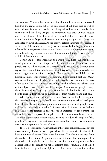are recruited. The number may be a few thousand or as many as several hundred thousand. Every subject is questioned about their diet as well as other relevant factors, such as their smoking habits, how much exercise they carry out, and their body weight. The researchers keep track of every subject and record all cases of the diseases of interest and of deaths. Then, after anywhere from four to 20 years, the researchers carefully analyze which factors are associated with which disease. As the lifestyle-related information is recorded at the start of the study and the subjects are then tracked, this type of study is often called a *prospective* cohort study. Cohort studies obviously involve storing and analyzing enormous amounts of information. For that reason they are a child of the computer age.

where from four to 20 years, the researchers carefully analyze which factors associated with which disease. As the lifesty-related information is recorded a prospective cohort study. Cohort studies obviously involve sto i called a *prospective* cohort study. Cohort studies obviously involve stor-<br>dianalyzing enormous amounts of information. For that reason they are<br>cohort studies have strengths and weaknesses. First, the weaknesses.<br>Cohort Cohort studies have strengths and weaknesses. First, the weaknesses. Making an accurate record of a person's diet is much more difficult than most people realize. When subjects in a research study are asked to describe their typical diet, they will try to be honest but will typically give responses that are only a rough approximation of the truth. This is because of the fallibility of the human memory. This problem is compounded by a second problem. Many cohort studies measure the diet of the subjects only once, namely at the start of the study. The researchers are assuming that this reflects the habitual diet of the subjects over the next decade or longer. But, of course, people change their diet over time. They may cut down on their alcohol intake, switch from beef to chicken, from butter to margarine, or from regular cola to diet cola.

What is the impact of this on the results of cohort studies? Let us suppose that people who regularly eat beef have a 10 percent higher risk of developing heart disease. Errors in making an accurate measurement of people's diets will tend to reduce the strength of this association. So instead of the findings indicating to the researchers that the risk is increased by ten percent, the researchers may end up concluding that the risk increases by only five percent. The more sophisticated cohort studies attempt to reduce the impact of this problem by repeating the diet assessment every few years. This produces a more accurate picture of a person's diet.

There is a second important weakness inherent in cohort studies. Suppose a cohort study discovers that people whose diet is quite rich in vitamin C have a low risk of cancer. What does this mean? The obvious message from the study is that vitamin C prevents cancer. If the results were reported in the media, this might lead to a spike in sales of vitamin C supplements. But a closer look at the results will tell a different story. Vitamin C is obtained from fruits and vegetables. A high intake of vitamin C is therefore a clear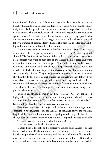indication of a high intake of fruits and vegetables. But these foods contain literally thousands of substances in addition to vitamin C. So what the study really found is that people who eat plenty of fruits and vegetables have a low risk of cancer. This probably means that fruit and vegetables are protective against cancer. But we cannot say that with any certainty. Perhaps people who eat generous amounts of fruit and vegetables are more health conscious and follow a number of healthy lifestyle habits. This problem is called confounding and is a frequent problem in cohort studies.

eat generous amounts of fruit and vegetables are more health conscious and<br>follow a number of healthy lifestyle habits. This problem is called confound-<br>ing and is a frequent problem in cohort studies have enormous value. spite these problems cohort studies have enormous value. This is best<br>strated by comparing cohort studies with RCTs. As was explained<br>RCTs that investigate the role of diet in disease berevention have mostly<br>bitects who we Despite these problems cohort studies have enormous value. This is best demonstrated by comparing cohort studies with RCTs. As was explained above, RCTs that investigate the role of diet in disease prevention have mostly used subjects who were at high risk of the disease being studied and were studied for only around three or four years. The results of these studies do not reliably tell us whether the dietary change truly prevents the disease but rather whether it blocks the late stages of the disease process. But cohort studies are completely different. They usually recruit only subjects who are reasonably healthy. In the better cohort studies the subjects are then followed for upwards of ten years. This time period is sufficiently long that it will probably cover most of the stages of disease development from start to finish. With this study design, therefore, the findings tell us whether the dietary change truly prevents the disease.

There is an official dogma in medical research. RCTs are considered highly reliable. That is true for many types of study such as the effectiveness of drugs. For that reason RCTs are often referred to as the "gold standard". Epidemiological studies, by contrast, have a lower status.

Textbooks that cover this subject tell students that epidemiology shows "association not causation". But for the reasons explained above, the situation is quite different when it comes to investigating whether a particular dietary change prevents disease. Here, cohort studies are arguably at least as reliable as RCTs and may even be more reliable (Temple, 2016).

Here are two examples that illustrate this.

Dietary fiber is thought to be protective against colon cancer. This has been tested in both RCTs and cohort studies. Ideally, an RCT would study healthy people (free of colon disease) and then test whether a fiber supplement prevents colon cancer over the next ten years or longer. But such a study would need huge numbers of subjects and would be almost impossible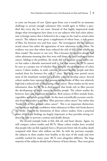cancer). The subjects were given a supplement of wheat bran, a rich sour<br>of ther, for between two and four years. The investigators did not measu<br>actual cancer but rather the appearance of new adenomas in the colon. N<br>evid nce was seen that wheat bran reduced the risk of this. How reliable are results? The answer is: not very. This is because the subjects already had adenomas meaning that they were well down the road leading to colon an aden to carry out because of cost. Quite apart from cost it would be an immense challenge to recruit enough volunteers who would agree to follow a specified diet every day for ten years. Instead of that highly impractical study design what investigators have done is to use subjects who had colon adenomas (a benign tumor that is believed to be a stage on the road to actual colon cancer). The subjects were given a supplement of wheat bran, a rich source of fiber, for between two and four years. The investigators did not measure actual cancer but rather the appearance of new adenomas in the colon. No evidence was seen that wheat bran reduced the risk of this. How reliable are these results? The answer is: not very. This is because the subjects already had colon adenomas meaning that they were well down the road leading to colon cancer. Adding to the problem, the study did not measure actual colon cancer but rather a disorder associated with it. For that reason the RCTs cannot be seen as a proper test of whether fiber prevents the development of colon cancer. Cohort studies, in stark contrast, recruited healthy people and then tracked them for between five and 17 years. This long time period covers most of the timeframe needed for a healthy colon to develop cancer. Several cohort studies have reported that persons whose intake of fiber was relatively high had a reduced risk of developing colon cancer. These studies are far more informative than the RCTs as they suggest that foods rich in fiber prevent the development of colon cancer in healthy people. The cohort studies do, however, have one important limitation. Rich sources of fiber include fruits, vegetables, and whole grain cereals. So the most scientifically accurate conclusion from the studies is not that "fiber prevents colon cancer" but rather that "foods rich in fiber prevent colon cancer". This is an important distinction; we cannot say with any confidence what substances in fiber-rich foods deserve the credit. Despite the limitations of these cohort studies, from a practical point of view the findings are hugely important as they provides strong evidence on how to prevent a serious and deadly disease.

The second example looks at fish, fish oil, and heart disease. Again, we will compare cohort studies and RCTs. Many cohort studies have revealed that people who eat fish regularly have a 20 percent lower risk of cardiac death compared with those who seldom eat fish. As with the previous example, the subjects in these studies were healthy at the start of the study and were carefully tracked for many years. RCTs were altogether different. The large majority of the subjects already had a history of heart disease. They were given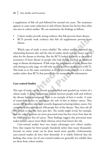a supplement of fish oil and followed for around two years. The treatment appears to cause some reduction in risk of heart disease but far less than what was seen in cohort studies. We can summarize the findings as follows:

- Cohort studies provide strong evidence that fish prevents heart disease.
- RCTs provide weak evidence that fish oil supplements prevent heart disease.

Which type of study is more reliable? The cohort studies examined the relationship between diet and the risk of cardiac death over the many years it takes for the disease to develop. But the RCTs looked narrowly at the risk of recurrence of heart disease in people who had already reached an advanced stage in disease development. If fish stops the progression of heart disease but only during its early stage, we will only see this in cohort studies, not in RCTs. This leads us to the same conclusion as in the previous example: it is cohort studies rather than RCTs that provide the far more valuable information.

#### **Case-control Studies**

• RCTs provide weak evidence that fish oil supplements prevent heart<br>disease.<br>Which type of study is more reliable? The cohort studies examined the<br>relationship between diet and the risk of cardiac death over the many year inch type of study is more reliable? The cohort studies examined the<br>ship between diet and the risk of cardiac death over the many years it<br>of the disease to develop. But the RCTs looked narrowly at the risk of<br>conce of he This type of study can be viewed as a simplified and speeded up version of a cohort study. A direct comparison is made between people with and without the disease being investigated. Here is an example of how it works. A team of researchers wishes to investigate the role of diet in kidney cancer. They recruit 200 patients who were recently diagnosed as having kidney cancer. For comparison they also recruit 200 people free of the disease. They then ask all 400 people to describe their past diet. The results might reveal, for example, that the cancer patients eat more processed meat but less citrus fruit than do the folks who are free of cancer. These findings suggest that processed meat makes kidney cancer more likely whereas citrus fruit lowers the risk.

Case-control studies have two major advantages over cohort studies. First, they require far fewer people (hundreds rather than many thousands). Second, an entire study can be done much more quickly. Unfortunately, case-control studies do have their downside. It is widely believed that the findings that come out of case-control studies are generally less reliable than are those from cohort studies.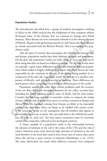#### **Population Studies**

The Introduction described how a group of medical investigators working in Africa in the 1960s noticed that the inhabitants of that continent seldom developed many of the diseases that are common in Europe and North America. These diseases are now commonly referred to as the chronic diseases of lifestyle. Based on this pioneering research we now know that these diseases are closely associated with the Western lifestyle. This is an example of a population study.

America. These diseases are now commonly referred to as the chronic disease<br>of lifestyle. Based on this pioneering research we now know that these diseas<br>are closely associated with the Western lifestyle. This is an exampl Like all types of research that investigates the relationship between diet and disease, population studies have their inherent strengths and weaknesses. On the plus side population studies are fairly cheap to carry out and can be done using data that are based on millions of people. The flip side is that there are typically a great many differences besides diet between different populations which makes it hugely challenging to figure out which factors are truly responsible for the variations in the risk of the disease being studied. Is it a component of the diet (fat, vegetables, meat)? Or perhaps it is another component of lifestyle, such physical activity or smoking. These differences are much greater when comparing countries from different parts of the world.

In study.<br>
in study.<br>
in study.<br>
in the all types of research that investigates the relationship between diet<br>
lisease, population studies have their inherent strengths and weaknesses.<br>
using data that are based on million Population studies also suffer from serious problems with the accuracy of the raw data. Many less developed countries do not collect accurate data, including for health statistics such as cause of death, and for food intake. Consider the following example. A researcher wishes to compare the intake of meat with the risk of death from cancer in various countries in Europe and Africa. While the numbers coming from Europe are likely to be reasonably accurate, the data from Africa are likely to be riddled with serious errors. If the researcher works on the assumption that all numbers that appear in government reports are accurate, this can easily lead to the well-known problem of "junk in, junk out". For that reason researchers must be extremely careful when using data collected in less developed countries.

A classic example of a population study is the relationship between the amount of selenium in the soil in the states of the USA and the risk of cancer. American states with relatively high amounts of selenium in the soil (and therefore in the local diet) tend to have lower rates of cancer than states where the soil has a poor content of selenium (Shamberger et al., 1976). The same observation was made when different countries were compared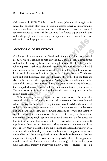(Schrauzer et al., 1977). This led to the discovery (which is still being investigated) that selenium offers some protection against cancer. A similar finding concerns sunshine. The sunnier states of the USA tend to have lower rates of cancer compared to states with less sunshine. The favored explanation for this is that the people who live in sunny states produce more vitamin D in their skin which then helps prevent cancer.

#### **ANECDOTAL OBSERVATIONS**

skin which then helps prevent cancer.<br>
ANECDOTAL OBSERVATIONS<br>
Charlie gets flu most winters. A friend told him about Echinacea, a herbal<br>
product, which is claimed to help prevent flu. Charlie bought a large bottle<br>
and t CONTAL OBSERVATIONS<br>
Segers flu most winters. A friend told him about Echinacea, a herbal<br>
t, which is claimed to help prevent flu. Charlie bought a large bottle<br>
k a pill every day before and during flu season. He did thi Charlie gets flu most winters. A friend told him about Echinacea, a herbal product, which is claimed to help prevent flu. Charlie bought a large bottle and took a pill every day before and during flu season. He did this again the following year. Charlie was pleasantly surprised that both those years he did not succumb to flu. The obvious conclusion, Charlie concluded, was that Echinacea had prevented him from getting flu. It is possible that Charlie was right and that Echinacea does indeed deserve the credit. But the facts are also consistent with other explanations. Possibly, Charlie was immune to the strain of flu viruses that appeared during the years he was taking Echinacea. Or perhaps luck was on Charlie's side and he was not infected by the flu virus. The information available to us is so limited that we can only guess as to the correct explanation.

This little story is known as an anecdotal observation. It is universally accepted in all areas of medicine that such observations have very limited value. This type of "evidence" (using the term very loosely) is the source of endless confusion when it comes to trying to figure out connections between diet and health. The central problem with anecdotal observations is that they are often a manifestation of chance. The placebo effect may also be at work. For example, Mary might go to a health food store and ask for advice on how to treat her poor level of energy. Mary is persuaded to take a vitamin B supplement. Over the next few weeks Mary notices that she seems to have more energy. Mary is delighted: the supplement has restored her energy level, or so she believes. In reality, it is most unlikely that the supplement had any direct effect on Mary's energy level. A more plausible explanation is that her improvement might have been due to the placebo effect (the supplement merely created the illusion that she had more energy). It is also entirely possible that Mary's improved energy was simply a chance occurrence (she did